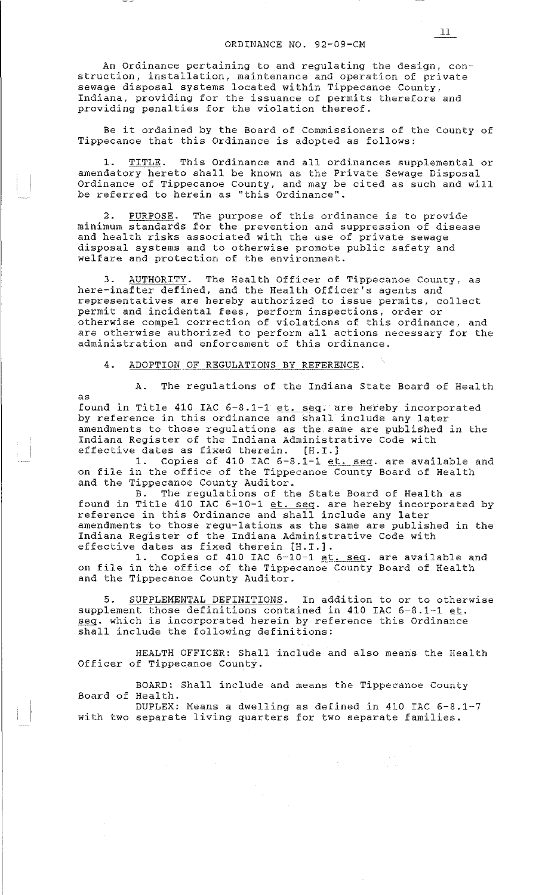An Ordinance pertaining to and regulating the design, construction, installation, maintenance and operation of private sewage disposal systems located within Tippecanoe County, Indiana, providing for the issuance of permits therefore and providing penalties for the violation thereof.

Be it ordained by the Board of Commissioners of the County of Tippecanoe that this Ordinance is adopted as follows:

1. TITLE. This Ordinance and all ordinances supplemental or amendatory hereto shall be known as the Private Sewage Disposal Ordinance of Tippecanoe County, and may be cited as such and will **be referred to herein as ''this Ordinance''.** 

2. PURPOSE. The purpose of this ordinance is to provide minimum standards for the prevention and suppression of disease and health risks associated with the use of private sewage disposal systems and to otherwise promote public safety and welfare and protection of the environment.

AUTHORITY. The Health Officer of Tippecanoe County, as here-inafter defined, and the Health Officer's agents and representatives are hereby authorized to issue permits, collect permit and incidental fees, perform inspections, order or otherwise compel correction of violations of this ordinance, and are otherwise authorized to perform all actions necessary for the administration and enforcement of this ordinance.

4. ADOPTION OF REGULATIONS BY REFERENCE.

A. The regulations of the Indiana State Board of Health as found in Title 410 IAC  $6-8.1-1$  et. seq. are hereby incorporated by reference in this ordinance and shall include any later

amendments to those regulations as the same are published in the Indiana Register of the Indiana Administrative Code with effective dates as fixed therein. [H.I.]

1. Copies of 410 IAC 6-8.1-1 et. seq. are available and on file in the office of the Tippecanoe County Board of Health and the Tippecanoe County Auditor.

B. The regulations of the State Board of Health as found in Title 410 IAC 6-10-1 et. seg. are hereby incorporated by reference in this Ordinance and shall include any later amendments to those regu-lations as the same are published in the Indiana Register of the Indiana Administrative Code with effective dates as fixed therein  $[H.I.]$ .<br>1. Copies of 410 IAC 6-10-1 et

Copies of 410 IAC  $6-10-1$  et. seq. are available and on file in the office of the Tippecanoe County Board of Health and the Tippecanoe County Auditor.

5. SUPPLEMENTAL DEFINITIONS. In addition to or to otherwise supplement those definitions contained in 410 IAC  $6-8.1-1$  et. seg. which is incorporated herein by reference this Ordinance shall include the following definitions:

HEALTH OFFICER: Shall include and also means the Health Officer of Tippecanoe County.

BOARD: Shall include and means the Tippecanoe County Board of Health.

DUPLEX: Means a dwelling as defined in 410 IAC 6-8.1-7 with two separate living quarters for two separate families.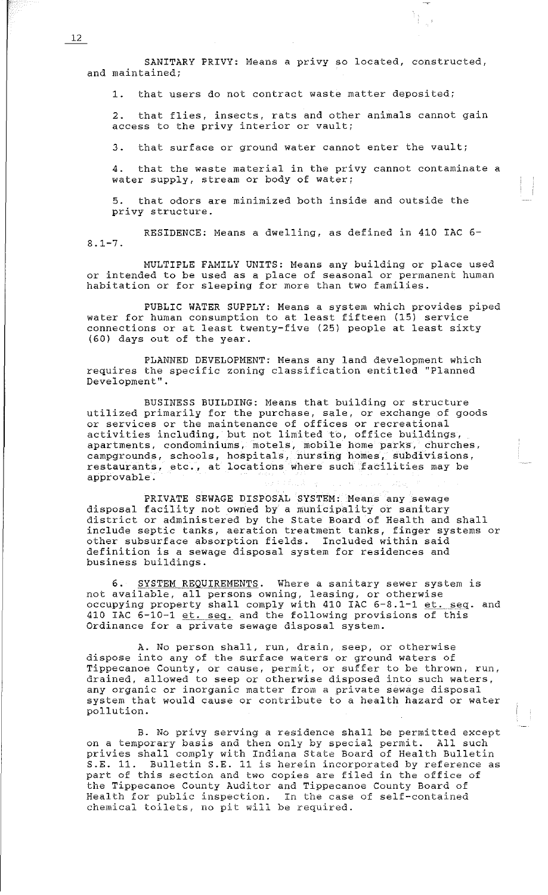SANITARY PRIVY: Means a privy so located, constructed, and maintained;

1. that users do not contract waste matter deposited;

2. that flies, insects, rats and other animals cannot gain access to the privy interior or vault;

3. that surface or ground water cannot enter the vault;

4. that the waste material in the privy cannot contaminate a water supply, stream or body of water;

5. that odors are minimized both inside and outside the privy structure.

RESIDENCE: Means a dwelling, as defined in 410 IAC 6-  $8.1 - 7.$ 

MULTIPLE FAMILY UNITS: Means any building or place used or intended to be used as a place of seasonal or permanent human habitation or for sleeping for more than two families.

PUBLIC WATER SUPPLY: Means a system which provides piped water for human consumption to at least fifteen (15) service connections or at least twenty-five (25) people at least sixty (60) days out of the year.

PLANNED DEVELOPMENT: Means any land development which requires the specific zoning classification entitled "Planned Development''.

BUSINESS BUILDING: Means that building or structure utilized primarily for the purchase, sale, or exchange of goods or services or the maintenance of offices or recreational activities including, but not limited to, office buildings, apartments, condominiums, motels, mobile home parks, churches, campgrounds, schools, hospitals, nursing homes, subdivisions, restaurants, etc., at locations where such facilities may be approvable.

PRIVATE SEWAGE DISPOSAL SYSTEM: Means any sewage disposal facility not owned by a municipality or sanitary district or administered by the State Board of Health and shall include septic tanks, aeration treatment tanks, finger systems or other subsurface absorption fields. Included within said definition is a sewage disposal system for residences and business buildings.

SYSTEM REQUIREMENTS. Where a sanitary sewer system is not available, all persons owning, leasing, or otherwise occupying property shall comply with 410 IAC  $6-8.1-1$  et. seq. and 410 IAC 6-10-1 et. seq. and the following provisions of this Ordinance for a private sewage disposal system.

A. No person shall, run, drain, seep, or otherwise dispose into any of the surface waters or ground waters of Tippecanoe County, or cause, permit, or suffer to be thrown, run, drained, allowed to seep or otherwise disposed into such waters, any organic or inorganic matter from a private sewage disposal system that would cause or contribute to a health hazard or water pollution.

B. No privy serving a residence shall be permitted except on a temporary basis and then only by special permit. All such privies shall comply with Indiana State Board of Health Bulletin S.E. 11. Bulletin S.E. 11 is herein incorporated by reference as part of this section and two copies are filed in the office of the Tippecanoe County Auditor and Tippecanoe County Board of Health for public inspection. In the case of self-contained chemical toilets, no pit will be required.

12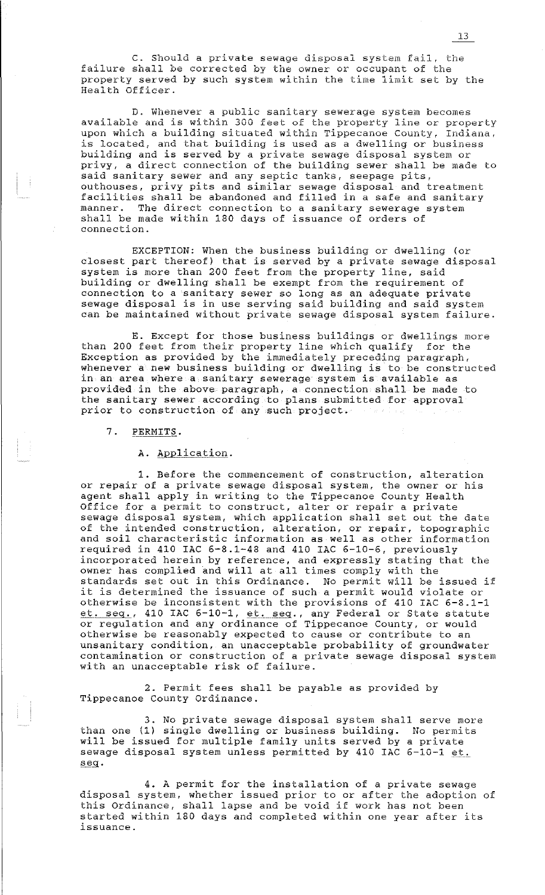C. Should a private sewage disposal system fail, the failure shall be corrected by the owner or occupant of the property served by such system within the time limit set by the Health Officer.

D. Whenever a public sanitary sewerage system becomes available and is within 300 feet of the property line or property upon which a building situated within Tippecanoe County, Indiana, is located, and that building is used as a dwelling or business building and is served by a private sewage disposal system or privy, a direct connection of the building sewer shall be made to said sanitary sewer and any septic tanks, seepage pits, outhouses, privy pits and similar sewage disposal and treatment facilities shall be abandoned and filled in a safe and sanitary manner. The direct connection to a sanitary sewerage system shall be made within 180 days of issuance of orders of connection.

EXCEPTION: When the business building or dwelling (or closest part thereof) that is served by a private sewage disposal system is more than 200 feet from the property line, said building or dwelling shall be exempt from the requirement of connection to a sanitary sewer so long as an adequate private sewage disposal is in use serving said building and said system can be maintained without private sewage disposal system failure.

E. Except for those business buildings or dwellings more than 200 feet from their property line which qualify for the Exception as provided by the immediately preceding paragraph, whenever a new business building or dwelling is to be constructed in an area where a sanitary sewerage system is available as provided in the above paragraph, a connection shall be made to the sanitary sewer according to plans submitted for approval prior to construction of any such project.

7. PERMITS.

A. Application.

1. Before the commencement of construction, alteration or repair of a private sewage disposal system, the owner or his agent shall apply in writing to the Tippecanoe County Health Office for a permit to construct, alter or repair a private sewage disposal system, which application shall set out the date of the intended construction, alteration, or repair, topographic and soil characteristic information as well as other information required in 410 IAC 6-8.1-48 and 410 IAC 6-10-6, previously incorporated herein by reference, and expressly stating that the owner has complied and will at all times comply with the standards set out in this Ordinance. No permit will be issued if it is determined the issuance of such a permit would violate or otherwise be inconsistent with the provisions of 410 IAC 6-8.1-1 et. seq., 410 IAC 6-10-1, et. seq., any Federal or State statute or regulation and any ordinance of Tippecanoe County, or would otherwise be reasonably expected to cause or contribute to an unsanitary condition, an unacceptable probability of groundwater contamination or construction of a private sewage disposal system with an unacceptable risk of failure.

2. Permit fees shall be payable as provided by Tippecanoe County Ordinance.

3. No private sewage disposal system shall serve more than one (1) single dwelling or business building. No permits will be issued for multiple family units served by a private sewage disposal system unless permitted by 410 IAC  $6-10-1$  et. ~§g.

4. A permit for the installation of a private sewage disposal system, whether issued prior to or after the adoption of this Ordinance, shall lapse and be void if work has not been started within 180 days and completed within one year after its **issuance.**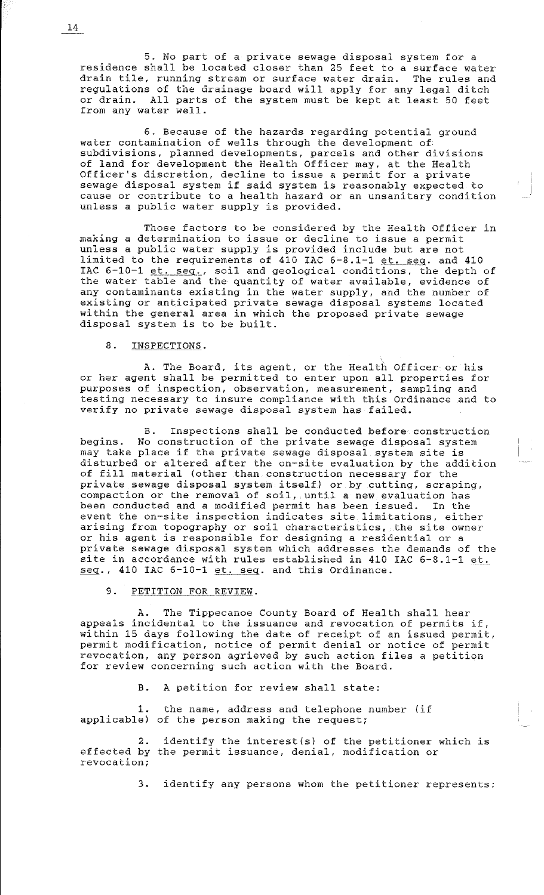5. No part of a private sewage disposal system for a residence shall be located closer than 25 feet to a surface water drain tile, running stream or surface water drain. The rules and regulations of the drainage board will apply for any legal ditch or drain. All parts of the system must be kept at least 50 feet from any water well.

6. Because of the hazards regarding potential ground water contamination of wells through the development of subdivisions, planned developments, parcels and other divisions of land for development the Health Officer may, at the Health Officer's discretion, decline to issue a permit for a private sewage disposal system if said system is reasonably expected to cause or contribute to a health hazard or an unsanitary condition unless a public water supply is provided.

Those factors to be considered by the Health Officer in making a determination to issue or decline to issue a permit unless a public water supply is provided include but are not limited to the requirements of 410 IAC  $6-8.1-1$  et. seq. and 410 IAMIVOR OF THE ISLAMISHONS OF THE THE OUTLET <u>SOFFOR</u>, and The the water table and the quantity of water available, evidence of any contaminants existing in the water supply, and the number of existing or anticipated private sewage disposal systems located within the general area in which the proposed private sewage disposal system is to be built.

## 8. INSPECTIONS.

A. The Board, its agent, or the Health Officer or his or her agent shall be permitted to enter upon all properties for purposes of inspection, observation, measurement, sampling and testing necessary to insure compliance with this Ordinance and to verify no private sewage disposal system has failed.

B. Inspections shall be conducted before construction begins. No construction of the private sewage disposal system may take place if the private sewage disposal system site is disturbed or altered after the on-site evaluation by the addition of fill material (other than construction necessary for the private sewage disposal system itself) or by cutting, scraping, compaction or the removal of soil, until a new evaluation has been conducted and a modified permit has been issued. In the event the on-site inspection indicates site limitations, either arising from topography or soil characteristics, the site owner arising from copography or sorr emaracecribered pence side on.<br>or his agent is responsible for designing a residential or a private sewage disposal system which addresses the demands of the site in accordance with rules established in 410 IAC 6-8.1-1 et. seq., 410 IAC 6-10-1 et. seq. and this Ordinance.

9. PETITION FOR REVIEW.

A. The Tippecanoe County Board of Health shall hear appeals incidental to the issuance and revocation of permits if, within 15 days following the date of receipt of an issued permit, permit modification, notice of permit denial or notice of permit revocation, any person agrieved by such action files a petition for review concerning such action with the Board.

B. A petition for review shall state:

1. the name, address and telephone number (if applicable) of the person making the request;

2. identify the interest(s) of the petitioner which is effected by the permit issuance, denial, modification or **revocation;** 

3. identify any persons whom the petitioner represents;

14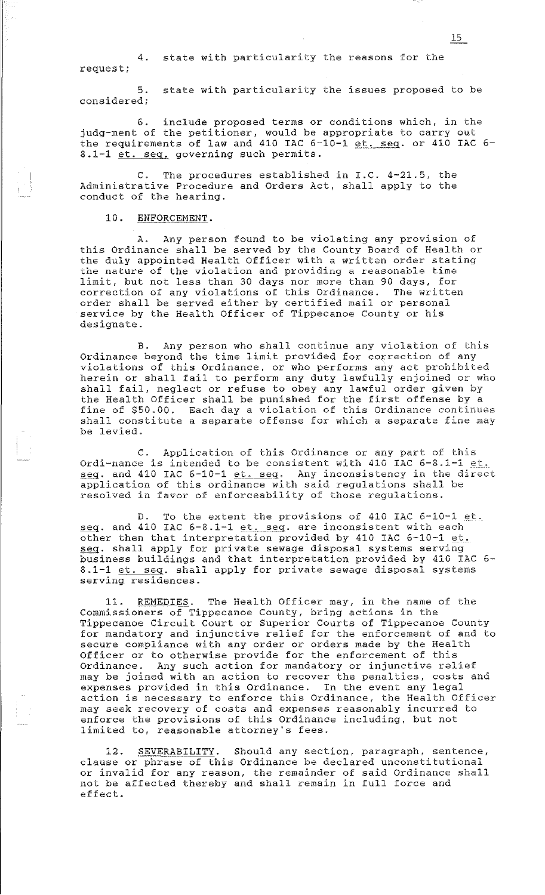4. state with particularity the reasons for the request;

5. state with particularity the issues proposed to be considered;

6. include proposed terms or conditions which, in the judg-ment of the petitioner, would be appropriate to carry out the requirements of law and 410 IAC  $6-10-1$  et. seq. or 410 IAC  $6-$ 8.1-1 et. seq. governing such permits.

C. The procedures established in I.C. 4-21.5, the Administrative Procedure and Orders Act, shall apply to the conduct of the hearing.

## 10. ENFORCEMENT.

A. Any person found to be violating any provision of this Ordinance shall be served by the County Board of Health or the duly appointed Health Officer with a written order stating the nature of the violation and providing a reasonable time limit, but not less than 30 days nor more than 90 days, for correction of any violations of this Ordinance. The written order shall be served either by certified mail or personal service by the Health Officer of Tippecanoe County or his designate.

B. Any person who shall continue any violation of this Ordinance beyond the time limit provided for correction of any violations of this Ordinance, or who performs any act prohibited herein or shall fail to perform any duty lawfully enjoined or who shall fail, neglect or refuse to obey any lawful order given by the Health Officer shall be punished for the first offense by a fine of \$50.00. Each day a violation of this Ordinance continues shall constitute a separate offense for which a separate fine may be levied.

C. Application of this Ordinance or any part of this Ordi-nance is intended to be consistent with  $410$  IAC  $6-8.1-1$  et. seq. and 410 IAC 6-10-1 et. seq. Any inconsistency in the direct application of this ordinance with said regulations shall be **resolved in favor of enforceability of those regulations.** 

D. To the extent the provisions of 410 IAC 6-10-1 et. seq. and 410 IAC  $6-8.1-1$  et.  $\sec \theta$ . are inconsistent with each other then that interpretation provided by 410 IAC 6-10-1 et. seq. shall apply for private sewage disposal systems serving business buildings and that interpretation provided by 410 IAC 6- 8.1-1 et. seq. shall apply for private sewage disposal systems serving residences.

11. REMEDIES. The Health Officer may, in the name of the Commissioners of Tippecanoe County, bring actions in the Tippecanoe Circuit Court or Superior Courts of Tippecanoe County for mandatory and injunctive relief for the enforcement of and to secure compliance with any order or orders made by the Health Officer or to otherwise provide for the enforcement of this Ordinance. Any such action for mandatory or injunctive relief may be joined with an action to recover the penalties, costs and expenses provided in this Ordinance. In the event any legal action is necessary to enforce this Ordinance, the Health Officer may seek recovery of costs and expenses reasonably incurred to enforce the provisions of this Ordinance including, but not limited to, reasonable attorney's fees.

12. SEVERABILITY. Should any section, paragraph, sentence, clause or phrase of this Ordinance be declared unconstitutional or invalid for any reason, the remainder of said Ordinance shall not be affected thereby and shall remain in full force and effect.